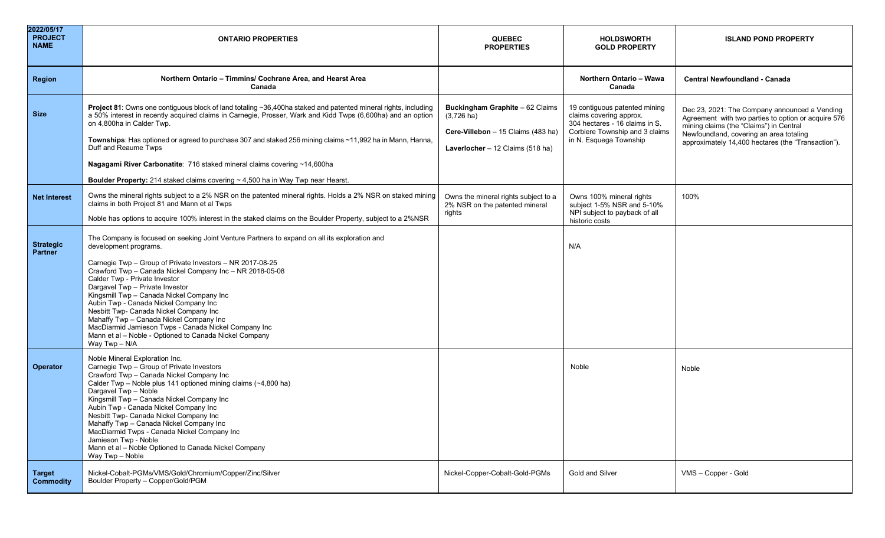| 2022/05/17<br><b>PROJECT</b><br><b>NAME</b> | <b>ONTARIO PROPERTIES</b>                                                                                                                                                                                                                                                                                                                                                                                                                                                                                                                                                                                                         | <b>QUEBEC</b><br><b>PROPERTIES</b>                                                                                                | <b>HOLDSWORTH</b><br><b>GOLD PROPERTY</b>                                                                                                              | <b>ISLAND POND PROPERTY</b>                                                                                                                                                                                                                      |
|---------------------------------------------|-----------------------------------------------------------------------------------------------------------------------------------------------------------------------------------------------------------------------------------------------------------------------------------------------------------------------------------------------------------------------------------------------------------------------------------------------------------------------------------------------------------------------------------------------------------------------------------------------------------------------------------|-----------------------------------------------------------------------------------------------------------------------------------|--------------------------------------------------------------------------------------------------------------------------------------------------------|--------------------------------------------------------------------------------------------------------------------------------------------------------------------------------------------------------------------------------------------------|
| <b>Region</b>                               | Northern Ontario - Timmins/ Cochrane Area, and Hearst Area<br>Canada                                                                                                                                                                                                                                                                                                                                                                                                                                                                                                                                                              |                                                                                                                                   | Northern Ontario - Wawa<br>Canada                                                                                                                      | <b>Central Newfoundland - Canada</b>                                                                                                                                                                                                             |
| <b>Size</b>                                 | Project 81: Owns one contiguous block of land totaling ~36,400ha staked and patented mineral rights, including<br>a 50% interest in recently acquired claims in Carnegie, Prosser, Wark and Kidd Twps (6,600ha) and an option<br>on 4,800ha in Calder Twp.<br>Townships: Has optioned or agreed to purchase 307 and staked 256 mining claims ~11,992 ha in Mann, Hanna,<br>Duff and Reaume Twps<br>Nagagami River Carbonatite: 716 staked mineral claims covering ~14,600ha<br><b>Boulder Property:</b> 214 staked claims covering $\sim$ 4,500 ha in Way Twp near Hearst.                                                        | Buckingham Graphite - 62 Claims<br>$(3,726 \text{ ha})$<br>Cere-Villebon - 15 Claims (483 ha)<br>Laverlocher - 12 Claims (518 ha) | 19 contiguous patented mining<br>claims covering approx.<br>304 hectares - 16 claims in S.<br>Corbiere Township and 3 claims<br>in N. Esquega Township | Dec 23, 2021: The Company announced a Vending<br>Agreement with two parties to option or acquire 576<br>mining claims (the "Claims") in Central<br>Newfoundland, covering an area totaling<br>approximately 14,400 hectares (the "Transaction"). |
| <b>Net Interest</b>                         | Owns the mineral rights subject to a 2% NSR on the patented mineral rights. Holds a 2% NSR on staked mining<br>claims in both Project 81 and Mann et al Twps<br>Noble has options to acquire 100% interest in the staked claims on the Boulder Property, subject to a 2%NSR                                                                                                                                                                                                                                                                                                                                                       | Owns the mineral rights subject to a<br>2% NSR on the patented mineral<br>rights                                                  | Owns 100% mineral rights<br>subject 1-5% NSR and 5-10%<br>NPI subject to payback of all<br>historic costs                                              | 100%                                                                                                                                                                                                                                             |
| <b>Strategic</b><br>Partner                 | The Company is focused on seeking Joint Venture Partners to expand on all its exploration and<br>development programs.<br>Carnegie Twp - Group of Private Investors - NR 2017-08-25<br>Crawford Twp - Canada Nickel Company Inc - NR 2018-05-08<br>Calder Twp - Private Investor<br>Dargavel Twp - Private Investor<br>Kingsmill Twp - Canada Nickel Company Inc<br>Aubin Twp - Canada Nickel Company Inc<br>Nesbitt Twp- Canada Nickel Company Inc<br>Mahaffy Twp - Canada Nickel Company Inc<br>MacDiarmid Jamieson Twps - Canada Nickel Company Inc<br>Mann et al - Noble - Optioned to Canada Nickel Company<br>Way Twp - N/A |                                                                                                                                   | N/A                                                                                                                                                    |                                                                                                                                                                                                                                                  |
| Operator                                    | Noble Mineral Exploration Inc.<br>Carnegie Twp - Group of Private Investors<br>Crawford Twp - Canada Nickel Company Inc<br>Calder Twp - Noble plus 141 optioned mining claims (~4,800 ha)<br>Dargavel Twp - Noble<br>Kingsmill Twp - Canada Nickel Company Inc<br>Aubin Twp - Canada Nickel Company Inc<br>Nesbitt Twp- Canada Nickel Company Inc<br>Mahaffy Twp - Canada Nickel Company Inc<br>MacDiarmid Twps - Canada Nickel Company Inc<br>Jamieson Twp - Noble<br>Mann et al - Noble Optioned to Canada Nickel Company<br>Way Twp - Noble                                                                                    |                                                                                                                                   | Noble                                                                                                                                                  | Noble                                                                                                                                                                                                                                            |
| <b>Target</b><br><b>Commodity</b>           | Nickel-Cobalt-PGMs/VMS/Gold/Chromium/Copper/Zinc/Silver<br>Boulder Property - Copper/Gold/PGM                                                                                                                                                                                                                                                                                                                                                                                                                                                                                                                                     | Nickel-Copper-Cobalt-Gold-PGMs                                                                                                    | <b>Gold and Silver</b>                                                                                                                                 | VMS - Copper - Gold                                                                                                                                                                                                                              |